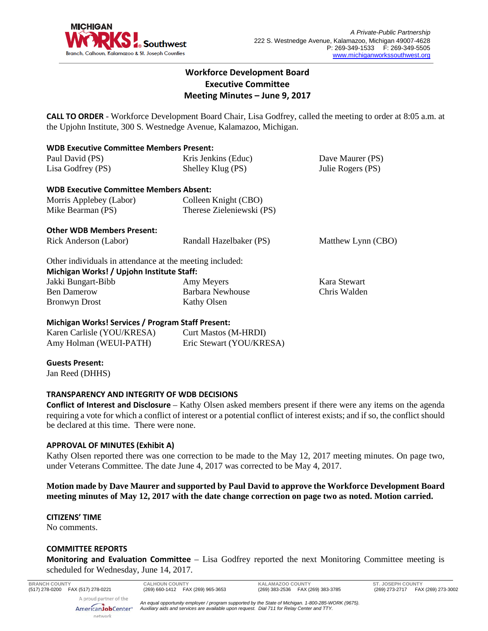

## **Workforce Development Board Executive Committee Meeting Minutes – June 9, 2017**

**CALL TO ORDER** - Workforce Development Board Chair, Lisa Godfrey, called the meeting to order at 8:05 a.m. at the Upjohn Institute, 300 S. Westnedge Avenue, Kalamazoo, Michigan.

| <b>WDB Executive Committee Members Present:</b>          |                           |                    |
|----------------------------------------------------------|---------------------------|--------------------|
| Paul David (PS)                                          | Kris Jenkins (Educ)       | Dave Maurer (PS)   |
| Lisa Godfrey (PS)                                        | Shelley Klug (PS)         | Julie Rogers (PS)  |
| <b>WDB Executive Committee Members Absent:</b>           |                           |                    |
| Morris Applebey (Labor)                                  | Colleen Knight (CBO)      |                    |
| Mike Bearman (PS)                                        | Therese Zieleniewski (PS) |                    |
| <b>Other WDB Members Present:</b>                        |                           |                    |
| Rick Anderson (Labor)                                    | Randall Hazelbaker (PS)   | Matthew Lynn (CBO) |
| Other individuals in attendance at the meeting included: |                           |                    |
| Michigan Works! / Upjohn Institute Staff:                |                           |                    |
| Jakki Bungart-Bibb                                       | Amy Meyers                | Kara Stewart       |
| <b>Ben Damerow</b>                                       | Barbara Newhouse          | Chris Walden       |
| <b>Bronwyn Drost</b>                                     | Kathy Olsen               |                    |
| Michigan Works! Services / Program Staff Present:        |                           |                    |
| Karen Carlisle (YOU/KRESA)                               | Curt Mastos (M-HRDI)      |                    |

# **Guests Present:**

Amy Holman (WEUI-PATH)

Jan Reed (DHHS)

### **TRANSPARENCY AND INTEGRITY OF WDB DECISIONS**

**Conflict of Interest and Disclosure** – Kathy Olsen asked members present if there were any items on the agenda requiring a vote for which a conflict of interest or a potential conflict of interest exists; and if so, the conflict should be declared at this time. There were none.

Eric Stewart (YOU/KRESA)

#### **APPROVAL OF MINUTES (Exhibit A)**

Kathy Olsen reported there was one correction to be made to the May 12, 2017 meeting minutes. On page two, under Veterans Committee. The date June 4, 2017 was corrected to be May 4, 2017.

#### **Motion made by Dave Maurer and supported by Paul David to approve the Workforce Development Board meeting minutes of May 12, 2017 with the date change correction on page two as noted. Motion carried.**

#### **CITIZENS' TIME**

No comments.

#### **COMMITTEE REPORTS**

**Monitoring and Evaluation Committee** – Lisa Godfrey reported the next Monitoring Committee meeting is scheduled for Wednesday, June 14, 2017.

AmericanJobCenter\* network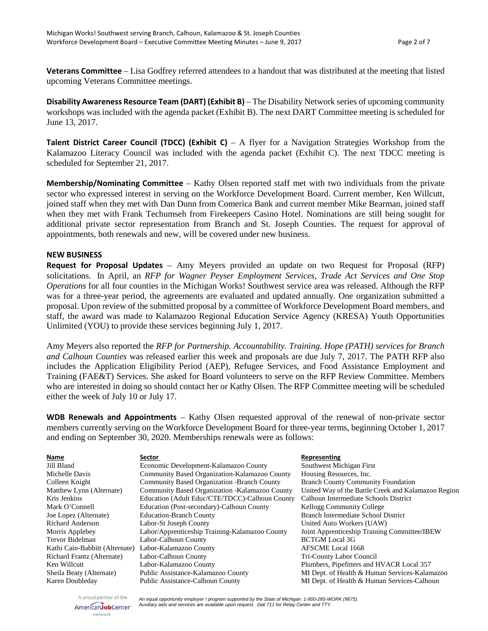**Veterans Committee** – Lisa Godfrey referred attendees to a handout that was distributed at the meeting that listed upcoming Veterans Committee meetings.

**Disability Awareness Resource Team (DART) (Exhibit B)** – The Disability Network series of upcoming community workshops was included with the agenda packet (Exhibit B). The next DART Committee meeting is scheduled for June 13, 2017.

**Talent District Career Council (TDCC)** (Exhibit C) – A flyer for a Navigation Strategies Workshop from the Kalamazoo Literacy Council was included with the agenda packet (Exhibit C). The next TDCC meeting is scheduled for September 21, 2017.

**Membership/Nominating Committee** – Kathy Olsen reported staff met with two individuals from the private sector who expressed interest in serving on the Workforce Development Board. Current member, Ken Willcutt, joined staff when they met with Dan Dunn from Comerica Bank and current member Mike Bearman, joined staff when they met with Frank Techumseh from Firekeepers Casino Hotel. Nominations are still being sought for additional private sector representation from Branch and St. Joseph Counties. The request for approval of appointments, both renewals and new, will be covered under new business.

#### **NEW BUSINESS**

**Request for Proposal Updates** – Amy Meyers provided an update on two Request for Proposal (RFP) solicitations. In April, an *RFP for Wagner Peyser Employment Services, Trade Act Services and One Stop Operations* for all four counties in the Michigan Works! Southwest service area was released. Although the RFP was for a three-year period, the agreements are evaluated and updated annually. One organization submitted a proposal. Upon review of the submitted proposal by a committee of Workforce Development Board members, and staff, the award was made to Kalamazoo Regional Education Service Agency (KRESA) Youth Opportunities Unlimited (YOU) to provide these services beginning July 1, 2017.

Amy Meyers also reported the *RFP for Partnership. Accountability. Training. Hope (PATH) services for Branch and Calhoun Counties* was released earlier this week and proposals are due July 7, 2017. The PATH RFP also includes the Application Eligibility Period (AEP), Refugee Services, and Food Assistance Employment and Training (FAE&T) Services. She asked for Board volunteers to serve on the RFP Review Committee. Members who are interested in doing so should contact her or Kathy Olsen. The RFP Committee meeting will be scheduled either the week of July 10 or July 17.

**WDB Renewals and Appointments** – Kathy Olsen requested approval of the renewal of non-private sector members currently serving on the Workforce Development Board for three-year terms, beginning October 1, 2017 and ending on September 30, 2020. Memberships renewals were as follows:

| Name                           | Sector                                             | Representing                                        |
|--------------------------------|----------------------------------------------------|-----------------------------------------------------|
| Jill Bland                     | Economic Development-Kalamazoo County              | Southwest Michigan First                            |
| Michelle Davis                 | Community Based Organization-Kalamazoo County      | Housing Resources, Inc.                             |
| Colleen Knight                 | <b>Community Based Organization -Branch County</b> | <b>Branch County Community Foundation</b>           |
| Matthew Lynn (Alternate)       | Community Based Organization - Kalamazoo County    | United Way of the Battle Creek and Kalamazoo Region |
| Kris Jenkins                   | Education (Adult Educ/CTE/TDCC)-Calhoun County     | Calhoun Intermediate Schools District               |
| Mark O'Connell                 | Education (Post-secondary)-Calhoun County          | <b>Kellogg Community College</b>                    |
| Joe Lopez (Alternate)          | <b>Education-Branch County</b>                     | Branch Intermediate School District                 |
| Richard Anderson               | Labor-St Joseph County                             | United Auto Workers (UAW)                           |
| Morris Applebey                | Labor/Apprenticeship Training-Kalamazoo County     | Joint Apprenticeship Training Committee/IBEW        |
| Trevor Bidelman                | Labor-Calhoun County                               | <b>BCTGM</b> Local 3G                               |
| Kathi Cain-Babbitt (Alternate) | Labor-Kalamazoo County                             | <b>AFSCME</b> Local 1668                            |
| Richard Frantz (Alternate)     | Labor-Calhoun County                               | Tri-County Labor Council                            |
| Ken Willcutt                   | Labor-Kalamazoo County                             | Plumbers, Pipefitters and HVACR Local 357           |
| Sheila Beaty (Alternate)       | Public Assistance-Kalamazoo County                 | MI Dept. of Health & Human Services-Kalamazoo       |
| Karen Doubleday                | <b>Public Assistance-Calhoun County</b>            | MI Dept. of Health & Human Services-Calhoun         |

A proud partner of the AmericanJobCenter\* network

*An equal opportunity employer / program supported by the State of Michigan. 1-800-285-WORK (9675). Auxiliary aids and services are available upon request. Dial 711 for Relay Center and TTY.*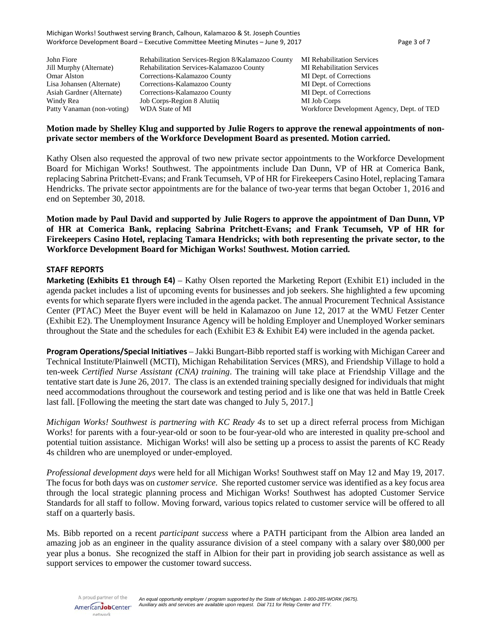| John Fiore                 | Rehabilitation Services-Region 8/Kalamazoo County | <b>MI</b> Rehabilitation Services          |
|----------------------------|---------------------------------------------------|--------------------------------------------|
| Jill Murphy (Alternate)    | Rehabilitation Services-Kalamazoo County          | <b>MI</b> Rehabilitation Services          |
| Omar Alston                | Corrections-Kalamazoo County                      | MI Dept. of Corrections                    |
| Lisa Johansen (Alternate)  | Corrections-Kalamazoo County                      | MI Dept. of Corrections                    |
| Asiah Gardner (Alternate)  | Corrections-Kalamazoo County                      | MI Dept. of Corrections                    |
| Windy Rea                  | Job Corps-Region 8 Alutiiq                        | MI Job Corps                               |
| Patty Vanaman (non-voting) | WDA State of MI                                   | Workforce Development Agency, Dept. of TED |

#### **Motion made by Shelley Klug and supported by Julie Rogers to approve the renewal appointments of nonprivate sector members of the Workforce Development Board as presented. Motion carried.**

Kathy Olsen also requested the approval of two new private sector appointments to the Workforce Development Board for Michigan Works! Southwest. The appointments include Dan Dunn, VP of HR at Comerica Bank, replacing Sabrina Pritchett-Evans; and Frank Tecumseh, VP of HR for Firekeepers Casino Hotel, replacing Tamara Hendricks. The private sector appointments are for the balance of two-year terms that began October 1, 2016 and end on September 30, 2018.

**Motion made by Paul David and supported by Julie Rogers to approve the appointment of Dan Dunn, VP of HR at Comerica Bank, replacing Sabrina Pritchett-Evans; and Frank Tecumseh, VP of HR for Firekeepers Casino Hotel, replacing Tamara Hendricks; with both representing the private sector, to the Workforce Development Board for Michigan Works! Southwest. Motion carried.**

#### **STAFF REPORTS**

**Marketing (Exhibits E1 through E4)** – Kathy Olsen reported the Marketing Report (Exhibit E1) included in the agenda packet includes a list of upcoming events for businesses and job seekers. She highlighted a few upcoming events for which separate flyers were included in the agenda packet. The annual Procurement Technical Assistance Center (PTAC) Meet the Buyer event will be held in Kalamazoo on June 12, 2017 at the WMU Fetzer Center (Exhibit E2). The Unemployment Insurance Agency will be holding Employer and Unemployed Worker seminars throughout the State and the schedules for each (Exhibit E3 & Exhibit E4) were included in the agenda packet.

**Program Operations/Special Initiatives** – Jakki Bungart-Bibb reported staff is working with Michigan Career and Technical Institute/Plainwell (MCTI), Michigan Rehabilitation Services (MRS), and Friendship Village to hold a ten-week *Certified Nurse Assistant (CNA) training*. The training will take place at Friendship Village and the tentative start date is June 26, 2017. The class is an extended training specially designed for individuals that might need accommodations throughout the coursework and testing period and is like one that was held in Battle Creek last fall. [Following the meeting the start date was changed to July 5, 2017.]

*Michigan Works! Southwest is partnering with KC Ready 4s* to set up a direct referral process from Michigan Works! for parents with a four-year-old or soon to be four-year-old who are interested in quality pre-school and potential tuition assistance. Michigan Works! will also be setting up a process to assist the parents of KC Ready 4s children who are unemployed or under-employed.

*Professional development days* were held for all Michigan Works! Southwest staff on May 12 and May 19, 2017. The focus for both days was on *customer service*. She reported customer service was identified as a key focus area through the local strategic planning process and Michigan Works! Southwest has adopted Customer Service Standards for all staff to follow. Moving forward, various topics related to customer service will be offered to all staff on a quarterly basis.

Ms. Bibb reported on a recent *participant success* where a PATH participant from the Albion area landed an amazing job as an engineer in the quality assurance division of a steel company with a salary over \$80,000 per year plus a bonus. She recognized the staff in Albion for their part in providing job search assistance as well as support services to empower the customer toward success.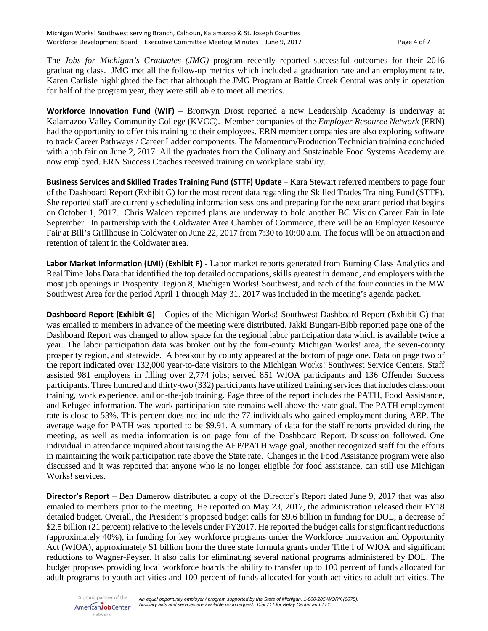The *Jobs for Michigan's Graduates (JMG)* program recently reported successful outcomes for their 2016 graduating class. JMG met all the follow-up metrics which included a graduation rate and an employment rate. Karen Carlisle highlighted the fact that although the JMG Program at Battle Creek Central was only in operation for half of the program year, they were still able to meet all metrics.

**Workforce Innovation Fund (WIF)** – Bronwyn Drost reported a new Leadership Academy is underway at Kalamazoo Valley Community College (KVCC). Member companies of the *Employer Resource Network* (ERN) had the opportunity to offer this training to their employees. ERN member companies are also exploring software to track Career Pathways / Career Ladder components. The Momentum/Production Technician training concluded with a job fair on June 2, 2017. All the graduates from the Culinary and Sustainable Food Systems Academy are now employed. ERN Success Coaches received training on workplace stability.

**Business Services and Skilled Trades Training Fund (STTF) Update** – Kara Stewart referred members to page four of the Dashboard Report (Exhibit G) for the most recent data regarding the Skilled Trades Training Fund (STTF). She reported staff are currently scheduling information sessions and preparing for the next grant period that begins on October 1, 2017. Chris Walden reported plans are underway to hold another BC Vision Career Fair in late September. In partnership with the Coldwater Area Chamber of Commerce, there will be an Employer Resource Fair at Bill's Grillhouse in Coldwater on June 22, 2017 from 7:30 to 10:00 a.m. The focus will be on attraction and retention of talent in the Coldwater area.

**Labor Market Information (LMI) (Exhibit F)** - Labor market reports generated from Burning Glass Analytics and Real Time Jobs Data that identified the top detailed occupations, skills greatest in demand, and employers with the most job openings in Prosperity Region 8, Michigan Works! Southwest, and each of the four counties in the MW Southwest Area for the period April 1 through May 31, 2017 was included in the meeting's agenda packet.

**Dashboard Report (Exhibit G)** – Copies of the Michigan Works! Southwest Dashboard Report (Exhibit G) that was emailed to members in advance of the meeting were distributed. Jakki Bungart-Bibb reported page one of the Dashboard Report was changed to allow space for the regional labor participation data which is available twice a year. The labor participation data was broken out by the four-county Michigan Works! area, the seven-county prosperity region, and statewide. A breakout by county appeared at the bottom of page one. Data on page two of the report indicated over 132,000 year-to-date visitors to the Michigan Works! Southwest Service Centers. Staff assisted 981 employers in filling over 2,774 jobs; served 851 WIOA participants and 136 Offender Success participants. Three hundred and thirty-two (332) participants have utilized training services that includes classroom training, work experience, and on-the-job training. Page three of the report includes the PATH, Food Assistance, and Refugee information. The work participation rate remains well above the state goal. The PATH employment rate is close to 53%. This percent does not include the 77 individuals who gained employment during AEP. The average wage for PATH was reported to be \$9.91. A summary of data for the staff reports provided during the meeting, as well as media information is on page four of the Dashboard Report. Discussion followed. One individual in attendance inquired about raising the AEP/PATH wage goal, another recognized staff for the efforts in maintaining the work participation rate above the State rate. Changes in the Food Assistance program were also discussed and it was reported that anyone who is no longer eligible for food assistance, can still use Michigan Works! services.

**Director's Report** – Ben Damerow distributed a copy of the Director's Report dated June 9, 2017 that was also emailed to members prior to the meeting. He reported on May 23, 2017, the administration released their FY18 detailed budget. Overall, the President's proposed budget calls for \$9.6 billion in funding for DOL, a decrease of \$2.5 billion (21 percent) relative to the levels under FY2017. He reported the budget calls for significant reductions (approximately 40%), in funding for key workforce programs under the Workforce Innovation and Opportunity Act (WIOA), approximately \$1 billion from the three state formula grants under Title I of WIOA and significant reductions to Wagner-Peyser. It also calls for eliminating several national programs administered by DOL. The budget proposes providing local workforce boards the ability to transfer up to 100 percent of funds allocated for adult programs to youth activities and 100 percent of funds allocated for youth activities to adult activities. The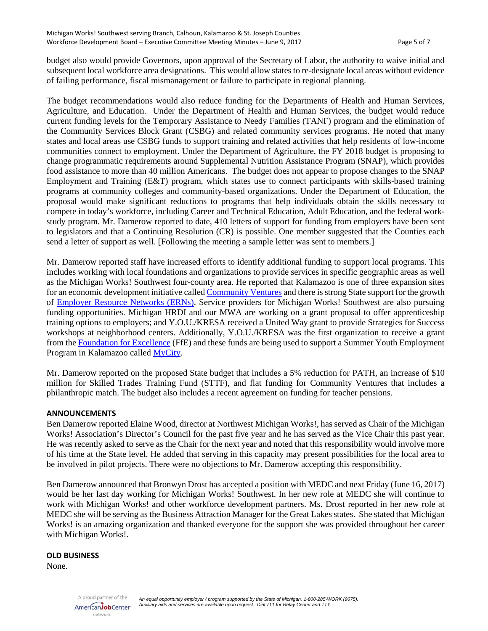budget also would provide Governors, upon approval of the Secretary of Labor, the authority to waive initial and subsequent local workforce area designations. This would allow states to re-designate local areas without evidence of failing performance, fiscal mismanagement or failure to participate in regional planning.

The budget recommendations would also reduce funding for the Departments of Health and Human Services, Agriculture, and Education. Under the Department of Health and Human Services, the budget would reduce current funding levels for the Temporary Assistance to Needy Families (TANF) program and the elimination of the Community Services Block Grant (CSBG) and related community services programs. He noted that many states and local areas use CSBG funds to support training and related activities that help residents of low-income communities connect to employment. Under the Department of Agriculture, the FY 2018 budget is proposing to change programmatic requirements around Supplemental Nutrition Assistance Program (SNAP), which provides food assistance to more than 40 million Americans. The budget does not appear to propose changes to the SNAP Employment and Training (E&T) program, which states use to connect participants with skills-based training programs at community colleges and community-based organizations. Under the Department of Education, the proposal would make significant reductions to programs that help individuals obtain the skills necessary to compete in today's workforce, including Career and Technical Education, Adult Education, and the federal workstudy program. Mr. Damerow reported to date, 410 letters of support for funding from employers have been sent to legislators and that a Continuing Resolution (CR) is possible. One member suggested that the Counties each send a letter of support as well. [Following the meeting a sample letter was sent to members.]

Mr. Damerow reported staff have increased efforts to identify additional funding to support local programs. This includes working with local foundations and organizations to provide services in specific geographic areas as well as the Michigan Works! Southwest four-county area. He reported that Kalamazoo is one of three expansion sites for an economic development initiative calle[d Community Ventures](http://mitalent.org/community-ventures) and there is strong State support for the growth of [Employer Resource Networks \(ERNs\).](http://www.ern-mi.com/) Service providers for Michigan Works! Southwest are also pursuing funding opportunities. Michigan HRDI and our MWA are working on a grant proposal to offer apprenticeship training options to employers; and Y.O.U./KRESA received a United Way grant to provide Strategies for Success workshops at neighborhood centers. Additionally, Y.O.U./KRESA was the first organization to receive a grant from the [Foundation for Excellence](http://www.kalamazoocity.org/foundation) (FfE) and these funds are being used to support a Summer Youth Employment Program in Kalamazoo called [MyCity.](https://www.kresa.org/mycity)

Mr. Damerow reported on the proposed State budget that includes a 5% reduction for PATH, an increase of \$10 million for Skilled Trades Training Fund (STTF), and flat funding for Community Ventures that includes a philanthropic match. The budget also includes a recent agreement on funding for teacher pensions.

#### **ANNOUNCEMENTS**

Ben Damerow reported Elaine Wood, director at Northwest Michigan Works!, has served as Chair of the Michigan Works! Association's Director's Council for the past five year and he has served as the Vice Chair this past year. He was recently asked to serve as the Chair for the next year and noted that this responsibility would involve more of his time at the State level. He added that serving in this capacity may present possibilities for the local area to be involved in pilot projects. There were no objections to Mr. Damerow accepting this responsibility.

Ben Damerow announced that Bronwyn Drost has accepted a position with MEDC and next Friday (June 16, 2017) would be her last day working for Michigan Works! Southwest. In her new role at MEDC she will continue to work with Michigan Works! and other workforce development partners. Ms. Drost reported in her new role at MEDC she will be serving as the Business Attraction Manager for the Great Lakes states. She stated that Michigan Works! is an amazing organization and thanked everyone for the support she was provided throughout her career with Michigan Works!.

#### **OLD BUSINESS**

None.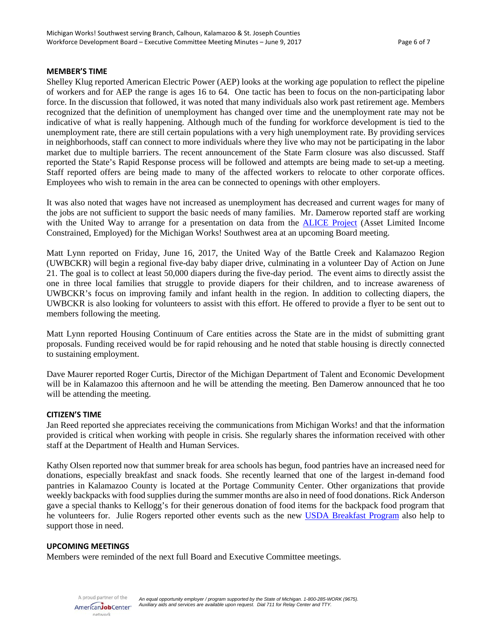#### **MEMBER'S TIME**

Shelley Klug reported American Electric Power (AEP) looks at the working age population to reflect the pipeline of workers and for AEP the range is ages 16 to 64. One tactic has been to focus on the non-participating labor force. In the discussion that followed, it was noted that many individuals also work past retirement age. Members recognized that the definition of unemployment has changed over time and the unemployment rate may not be indicative of what is really happening. Although much of the funding for workforce development is tied to the unemployment rate, there are still certain populations with a very high unemployment rate. By providing services in neighborhoods, staff can connect to more individuals where they live who may not be participating in the labor market due to multiple barriers. The recent announcement of the State Farm closure was also discussed. Staff reported the State's Rapid Response process will be followed and attempts are being made to set-up a meeting. Staff reported offers are being made to many of the affected workers to relocate to other corporate offices. Employees who wish to remain in the area can be connected to openings with other employers.

It was also noted that wages have not increased as unemployment has decreased and current wages for many of the jobs are not sufficient to support the basic needs of many families. Mr. Damerow reported staff are working with the United Way to arrange for a presentation on data from the **ALICE Project** (Asset Limited Income Constrained, Employed) for the Michigan Works! Southwest area at an upcoming Board meeting.

Matt Lynn reported on Friday, June 16, 2017, the United Way of the Battle Creek and Kalamazoo Region (UWBCKR) will begin a regional five-day baby diaper drive, culminating in a volunteer Day of Action on June 21. The goal is to collect at least 50,000 diapers during the five-day period. The event aims to directly assist the one in three local families that struggle to provide diapers for their children, and to increase awareness of UWBCKR's focus on improving family and infant health in the region. In addition to collecting diapers, the UWBCKR is also looking for volunteers to assist with this effort. He offered to provide a flyer to be sent out to members following the meeting.

Matt Lynn reported Housing Continuum of Care entities across the State are in the midst of submitting grant proposals. Funding received would be for rapid rehousing and he noted that stable housing is directly connected to sustaining employment.

Dave Maurer reported Roger Curtis, Director of the Michigan Department of Talent and Economic Development will be in Kalamazoo this afternoon and he will be attending the meeting. Ben Damerow announced that he too will be attending the meeting.

#### **CITIZEN'S TIME**

Jan Reed reported she appreciates receiving the communications from Michigan Works! and that the information provided is critical when working with people in crisis. She regularly shares the information received with other staff at the Department of Health and Human Services.

Kathy Olsen reported now that summer break for area schools has begun, food pantries have an increased need for donations, especially breakfast and snack foods. She recently learned that one of the largest in-demand food pantries in Kalamazoo County is located at the Portage Community Center. Other organizations that provide weekly backpacks with food supplies during the summer months are also in need of food donations. Rick Anderson gave a special thanks to Kellogg's for their generous donation of food items for the backpack food program that he volunteers for. Julie Rogers reported other events such as the new [USDA Breakfast Program](https://www.fns.usda.gov/sbp/school-breakfast-program-sbp) also help to support those in need.

#### **UPCOMING MEETINGS**

Members were reminded of the next full Board and Executive Committee meetings.